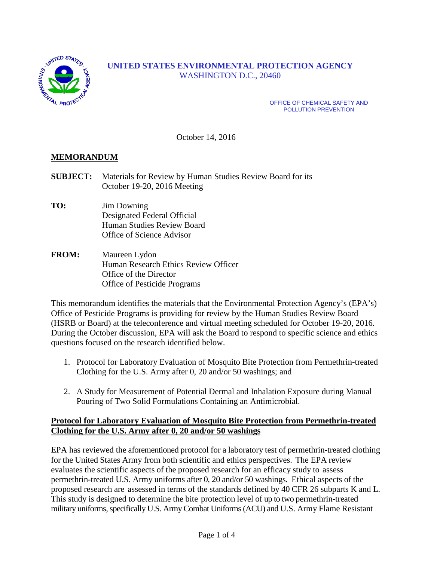

# **UNITED STATES ENVIRONMENTAL PROTECTION AGENCY** WASHINGTON D.C., 20460

OFFICE OF CHEMICAL SAFETY AND POLLUTION PREVENTION

October 14, 2016

## **MEMORANDUM**

- **SUBJECT:** Materials for Review by Human Studies Review Board for its October 19-20, 2016 Meeting
- **TO:** Jim Downing Designated Federal Official Human Studies Review Board Office of Science Advisor
- **FROM:** Maureen Lydon Human Research Ethics Review Officer Office of the Director Office of Pesticide Programs

This memorandum identifies the materials that the Environmental Protection Agency's (EPA's) Office of Pesticide Programs is providing for review by the Human Studies Review Board (HSRB or Board) at the teleconference and virtual meeting scheduled for October 19-20, 2016. During the October discussion, EPA will ask the Board to respond to specific science and ethics questions focused on the research identified below.

- 1. Protocol for Laboratory Evaluation of Mosquito Bite Protection from Permethrin-treated Clothing for the U.S. Army after 0, 20 and/or 50 washings; and
- 2. A Study for Measurement of Potential Dermal and Inhalation Exposure during Manual Pouring of Two Solid Formulations Containing an Antimicrobial.

#### **Protocol for Laboratory Evaluation of Mosquito Bite Protection from Permethrin-treated Clothing for the U.S. Army after 0, 20 and/or 50 washings**

EPA has reviewed the aforementioned protocol for a laboratory test of permethrin-treated clothing for the United States Army from both scientific and ethics perspectives. The EPA review evaluates the scientific aspects of the proposed research for an efficacy study to assess permethrin-treated U.S. Army uniforms after 0, 20 and/or 50 washings. Ethical aspects of the proposed research are assessed in terms of the standards defined by 40 CFR 26 subparts K and L. This study is designed to determine the bite protection level of up to two permethrin-treated military uniforms, specifically U.S. ArmyCombat Uniforms (ACU) and U.S. Army Flame Resistant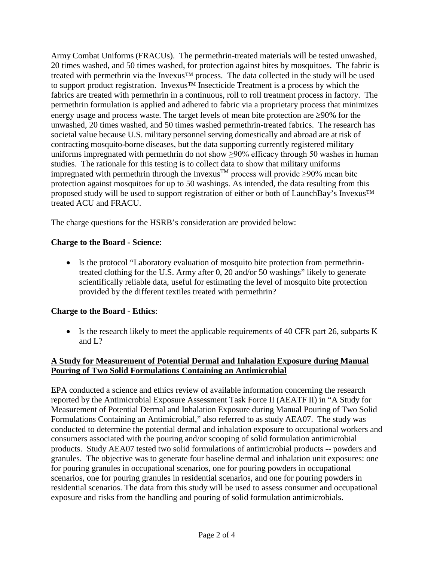Army Combat Uniforms (FRACUs). The permethrin-treated materials will be tested unwashed, 20 times washed, and 50 times washed, for protection against bites by mosquitoes. The fabric is treated with permethrin via the Invexus™ process. The data collected in the study will be used to support product registration. Invexus™ Insecticide Treatment is a process by which the fabrics are treated with permethrin in a continuous, roll to roll treatment process in factory. The permethrin formulation is applied and adhered to fabric via a proprietary process that minimizes energy usage and process waste. The target levels of mean bite protection are ≥90% for the unwashed, 20 times washed, and 50 times washed permethrin-treated fabrics. The research has societal value because U.S. military personnel serving domestically and abroad are at risk of contracting mosquito-borne diseases, but the data supporting currently registered military uniforms impregnated with permethrin do not show  $\geq$ 90% efficacy through 50 washes in human studies. The rationale for this testing is to collect data to show that military uniforms impregnated with permethrin through the Invexus<sup>™</sup> process will provide ≥90% mean bite protection against mosquitoes for up to 50 washings. As intended, the data resulting from this proposed study will be used to support registration of either or both of LaunchBay's Invexus™ treated ACU and FRACU.

The charge questions for the HSRB's consideration are provided below:

#### **Charge to the Board - Science**:

• Is the protocol "Laboratory evaluation of mosquito bite protection from permethrintreated clothing for the U.S. Army after 0, 20 and/or 50 washings" likely to generate scientifically reliable data, useful for estimating the level of mosquito bite protection provided by the different textiles treated with permethrin?

## **Charge to the Board - Ethics**:

• Is the research likely to meet the applicable requirements of 40 CFR part 26, subparts K and L?

## **A Study for Measurement of Potential Dermal and Inhalation Exposure during Manual Pouring of Two Solid Formulations Containing an Antimicrobial**

EPA conducted a science and ethics review of available information concerning the research reported by the Antimicrobial Exposure Assessment Task Force II (AEATF II) in "A Study for Measurement of Potential Dermal and Inhalation Exposure during Manual Pouring of Two Solid Formulations Containing an Antimicrobial," also referred to as study AEA07. The study was conducted to determine the potential dermal and inhalation exposure to occupational workers and consumers associated with the pouring and/or scooping of solid formulation antimicrobial products. Study AEA07 tested two solid formulations of antimicrobial products -- powders and granules. The objective was to generate four baseline dermal and inhalation unit exposures: one for pouring granules in occupational scenarios, one for pouring powders in occupational scenarios, one for pouring granules in residential scenarios, and one for pouring powders in residential scenarios. The data from this study will be used to assess consumer and occupational exposure and risks from the handling and pouring of solid formulation antimicrobials.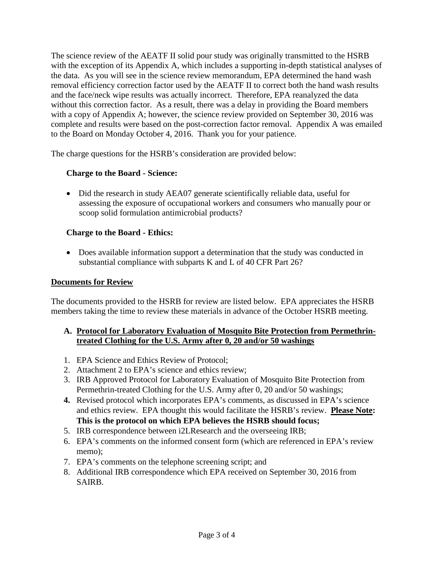The science review of the AEATF II solid pour study was originally transmitted to the HSRB with the exception of its Appendix A, which includes a supporting in-depth statistical analyses of the data. As you will see in the science review memorandum, EPA determined the hand wash removal efficiency correction factor used by the AEATF II to correct both the hand wash results and the face/neck wipe results was actually incorrect. Therefore, EPA reanalyzed the data without this correction factor. As a result, there was a delay in providing the Board members with a copy of Appendix A; however, the science review provided on September 30, 2016 was complete and results were based on the post-correction factor removal. Appendix A was emailed to the Board on Monday October 4, 2016. Thank you for your patience.

The charge questions for the HSRB's consideration are provided below:

## **Charge to the Board - Science:**

• Did the research in study AEA07 generate scientifically reliable data, useful for assessing the exposure of occupational workers and consumers who manually pour or scoop solid formulation antimicrobial products?

#### **Charge to the Board - Ethics:**

• Does available information support a determination that the study was conducted in substantial compliance with subparts K and L of 40 CFR Part 26?

#### **Documents for Review**

The documents provided to the HSRB for review are listed below. EPA appreciates the HSRB members taking the time to review these materials in advance of the October HSRB meeting.

## **A. Protocol for Laboratory Evaluation of Mosquito Bite Protection from Permethrintreated Clothing for the U.S. Army after 0, 20 and/or 50 washings**

- 1. EPA Science and Ethics Review of Protocol;
- 2. Attachment 2 to EPA's science and ethics review;
- 3. IRB Approved Protocol for Laboratory Evaluation of Mosquito Bite Protection from Permethrin-treated Clothing for the U.S. Army after 0, 20 and/or 50 washings;
- **4.** Revised protocol which incorporates EPA's comments, as discussed in EPA's science and ethics review. EPA thought this would facilitate the HSRB's review. **Please Note: This is the protocol on which EPA believes the HSRB should focus;**
- 5. IRB correspondence between i2LResearch and the overseeing IRB;
- 6. EPA's comments on the informed consent form (which are referenced in EPA's review memo);
- 7. EPA's comments on the telephone screening script; and
- 8. Additional IRB correspondence which EPA received on September 30, 2016 from SAIRB.